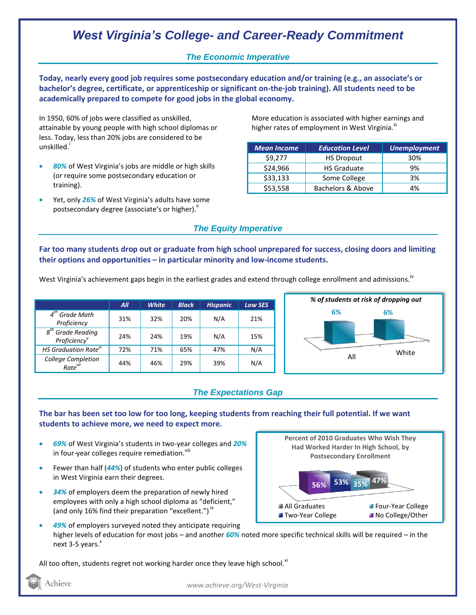# *West Virginia's College- and Career-Ready Commitment*

### *The Economic Imperative*

**Today, nearly every good job requires some postsecondary education and/or training (e.g., an associate's or bachelor's degree, certificate, or apprenticeship or significant on-the-job training). All students need to be academically prepared to compete for good jobs in the global economy.**

In 1950, 60% of jobs were classified as unskilled, attainable by young people with high school diplomas or less. Today, less than 20% jobs are considered to be unskilled.<sup>i</sup>

- *80%* of West Virginia's jobs are middle or high skills (or require some postsecondary education or training).
- Yet, only *26%* of West Virginia's adults have some postsecondary degree (associate's or higher)."

More education is associated with higher earnings and higher rates of employment in West Virginia. $^{\text{\text{III}}}$ 

| <b>Mean Income</b> | <b>Education Level</b> | <b>Unemployment</b> |
|--------------------|------------------------|---------------------|
| \$9,277            | <b>HS Dropout</b>      | 30%                 |
| \$24,966           | <b>HS Graduate</b>     | 9%                  |
| \$33,133           | Some College           | 3%                  |
| \$53,558           | Bachelors & Above      | 4%                  |

### *The Equity Imperative*

**Far too many students drop out or graduate from high school unprepared for success, closing doors and limiting their options and opportunities – in particular minority and low-income students.** 

West Virginia's achievement gaps begin in the earliest grades and extend through college enrollment and admissions.  ${}^{iv}$ 

|                                                 | All | <b>White</b> | <b>Black</b> | <b>Hispanic</b> | <b>Low SES</b> |
|-------------------------------------------------|-----|--------------|--------------|-----------------|----------------|
| $4th$ Grade Math<br>Proficiency                 | 31% | 32%          | 20%          | N/A             | 21%            |
| $8th$ Grade Reading<br>Proficiency <sup>v</sup> | 24% | 24%          | 19%          | N/A             | 15%            |
| HS Graduation Rate <sup>vi</sup>                | 72% | 71%          | 65%          | 47%             | N/A            |
| College Completion<br>Rate <sup>vii</sup>       | 44% | 46%          | 29%          | 39%             | N/A            |



## *The Expectations Gap*

#### **The bar has been set too low for too long, keeping students from reaching their full potential. If we want students to achieve more, we need to expect more.**

- *69%* of West Virginia's students in two-year colleges and *20%*  in four-year colleges require remediation.<sup>viii</sup>
- Fewer than half (*44%*) of students who enter public colleges in West Virginia earn their degrees.
- *34%* of employers deem the preparation of newly hired employees with only a high school diploma as "deficient," (and only 16% find their preparation "excellent.")<sup>ix</sup>



 *49%* of employers surveyed noted they anticipate requiring higher levels of education for most jobs – and another *60%* noted more specific technical skills will be required – in the next 3-5 years.<sup>x</sup>

All too often, students regret not working harder once they leave high school. $^{xi}$ 

Achieve

*www.achieve.org/West-Virginia*